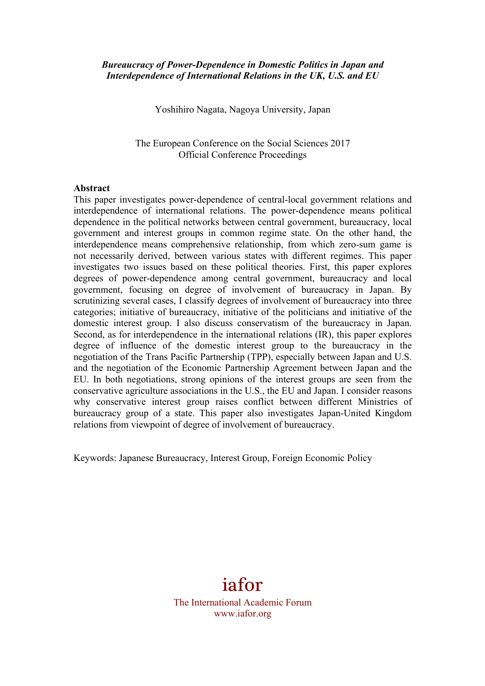#### *Bureaucracy of Power-Dependence in Domestic Politics in Japan and Interdependence of International Relations in the UK, U.S. and EU*

Yoshihiro Nagata, Nagoya University, Japan

The European Conference on the Social Sciences 2017 Official Conference Proceedings

#### **Abstract**

This paper investigates power-dependence of central-local government relations and interdependence of international relations. The power-dependence means political dependence in the political networks between central government, bureaucracy, local government and interest groups in common regime state. On the other hand, the interdependence means comprehensive relationship, from which zero-sum game is not necessarily derived, between various states with different regimes. This paper investigates two issues based on these political theories. First, this paper explores degrees of power-dependence among central government, bureaucracy and local government, focusing on degree of involvement of bureaucracy in Japan. By scrutinizing several cases, I classify degrees of involvement of bureaucracy into three categories; initiative of bureaucracy, initiative of the politicians and initiative of the domestic interest group. I also discuss conservatism of the bureaucracy in Japan. Second, as for interdependence in the international relations (IR), this paper explores degree of influence of the domestic interest group to the bureaucracy in the negotiation of the Trans Pacific Partnership (TPP), especially between Japan and U.S. and the negotiation of the Economic Partnership Agreement between Japan and the EU. In both negotiations, strong opinions of the interest groups are seen from the conservative agriculture associations in the U.S., the EU and Japan. I consider reasons why conservative interest group raises conflict between different Ministries of bureaucracy group of a state. This paper also investigates Japan-United Kingdom relations from viewpoint of degree of involvement of bureaucracy.

Keywords: Japanese Bureaucracy, Interest Group, Foreign Economic Policy

# iafor

The International Academic Forum www.iafor.org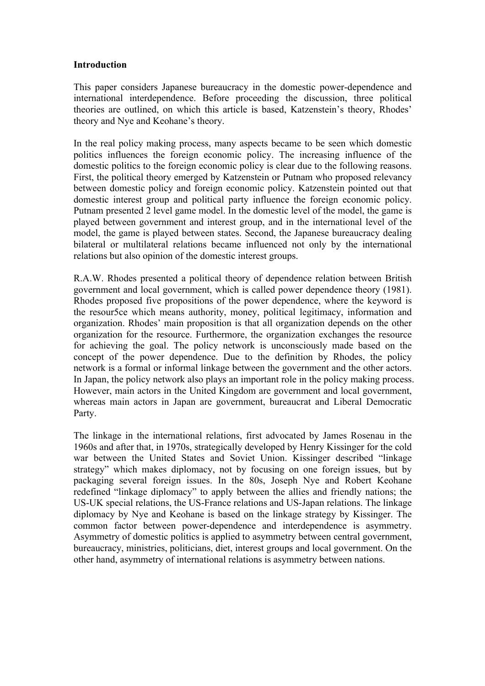#### **Introduction**

This paper considers Japanese bureaucracy in the domestic power-dependence and international interdependence. Before proceeding the discussion, three political theories are outlined, on which this article is based, Katzenstein's theory, Rhodes' theory and Nye and Keohane's theory.

In the real policy making process, many aspects became to be seen which domestic politics influences the foreign economic policy. The increasing influence of the domestic politics to the foreign economic policy is clear due to the following reasons. First, the political theory emerged by Katzenstein or Putnam who proposed relevancy between domestic policy and foreign economic policy. Katzenstein pointed out that domestic interest group and political party influence the foreign economic policy. Putnam presented 2 level game model. In the domestic level of the model, the game is played between government and interest group, and in the international level of the model, the game is played between states. Second, the Japanese bureaucracy dealing bilateral or multilateral relations became influenced not only by the international relations but also opinion of the domestic interest groups.

R.A.W. Rhodes presented a political theory of dependence relation between British government and local government, which is called power dependence theory (1981). Rhodes proposed five propositions of the power dependence, where the keyword is the resour5ce which means authority, money, political legitimacy, information and organization. Rhodes' main proposition is that all organization depends on the other organization for the resource. Furthermore, the organization exchanges the resource for achieving the goal. The policy network is unconsciously made based on the concept of the power dependence. Due to the definition by Rhodes, the policy network is a formal or informal linkage between the government and the other actors. In Japan, the policy network also plays an important role in the policy making process. However, main actors in the United Kingdom are government and local government, whereas main actors in Japan are government, bureaucrat and Liberal Democratic Party.

The linkage in the international relations, first advocated by James Rosenau in the 1960s and after that, in 1970s, strategically developed by Henry Kissinger for the cold war between the United States and Soviet Union. Kissinger described "linkage strategy" which makes diplomacy, not by focusing on one foreign issues, but by packaging several foreign issues. In the 80s, Joseph Nye and Robert Keohane redefined "linkage diplomacy" to apply between the allies and friendly nations; the US-UK special relations, the US-France relations and US-Japan relations. The linkage diplomacy by Nye and Keohane is based on the linkage strategy by Kissinger. The common factor between power-dependence and interdependence is asymmetry. Asymmetry of domestic politics is applied to asymmetry between central government, bureaucracy, ministries, politicians, diet, interest groups and local government. On the other hand, asymmetry of international relations is asymmetry between nations.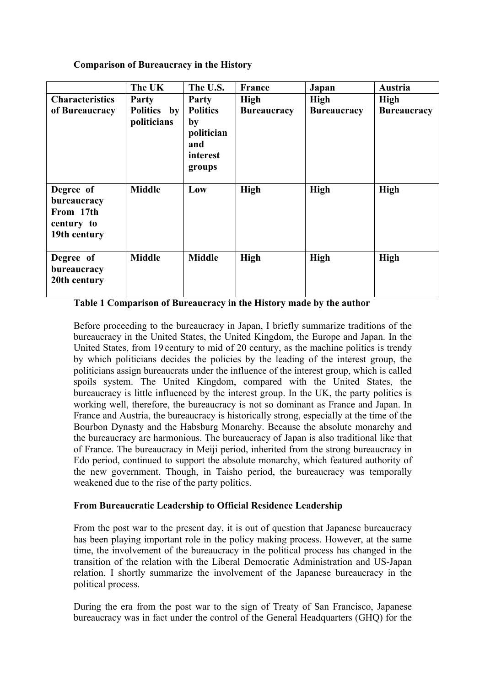**Comparison of Bureaucracy in the History**

|                                                                     | The UK                     | The U.S.                                                         | <b>France</b>      | Japan              | Austria            |
|---------------------------------------------------------------------|----------------------------|------------------------------------------------------------------|--------------------|--------------------|--------------------|
| <b>Characteristics</b>                                              | Party                      | Party                                                            | <b>High</b>        | High               | High               |
| of Bureaucracy                                                      | Politics by<br>politicians | <b>Politics</b><br>by<br>politician<br>and<br>interest<br>groups | <b>Bureaucracy</b> | <b>Bureaucracy</b> | <b>Bureaucracy</b> |
| Degree of<br>bureaucracy<br>From 17th<br>century to<br>19th century | <b>Middle</b>              | Low                                                              | <b>High</b>        | <b>High</b>        | High               |
| Degree of<br>bureaucracy<br>20th century                            | <b>Middle</b>              | <b>Middle</b>                                                    | <b>High</b>        | <b>High</b>        | <b>High</b>        |

## **Table 1 Comparison of Bureaucracy in the History made by the author**

Before proceeding to the bureaucracy in Japan, I briefly summarize traditions of the bureaucracy in the United States, the United Kingdom, the Europe and Japan. In the United States, from 19 century to mid of 20 century, as the machine politics is trendy by which politicians decides the policies by the leading of the interest group, the politicians assign bureaucrats under the influence of the interest group, which is called spoils system. The United Kingdom, compared with the United States, the bureaucracy is little influenced by the interest group. In the UK, the party politics is working well, therefore, the bureaucracy is not so dominant as France and Japan. In France and Austria, the bureaucracy is historically strong, especially at the time of the Bourbon Dynasty and the Habsburg Monarchy. Because the absolute monarchy and the bureaucracy are harmonious. The bureaucracy of Japan is also traditional like that of France. The bureaucracy in Meiji period, inherited from the strong bureaucracy in Edo period, continued to support the absolute monarchy, which featured authority of the new government. Though, in Taisho period, the bureaucracy was temporally weakened due to the rise of the party politics.

## **From Bureaucratic Leadership to Official Residence Leadership**

From the post war to the present day, it is out of question that Japanese bureaucracy has been playing important role in the policy making process. However, at the same time, the involvement of the bureaucracy in the political process has changed in the transition of the relation with the Liberal Democratic Administration and US-Japan relation. I shortly summarize the involvement of the Japanese bureaucracy in the political process.

During the era from the post war to the sign of Treaty of San Francisco, Japanese bureaucracy was in fact under the control of the General Headquarters (GHQ) for the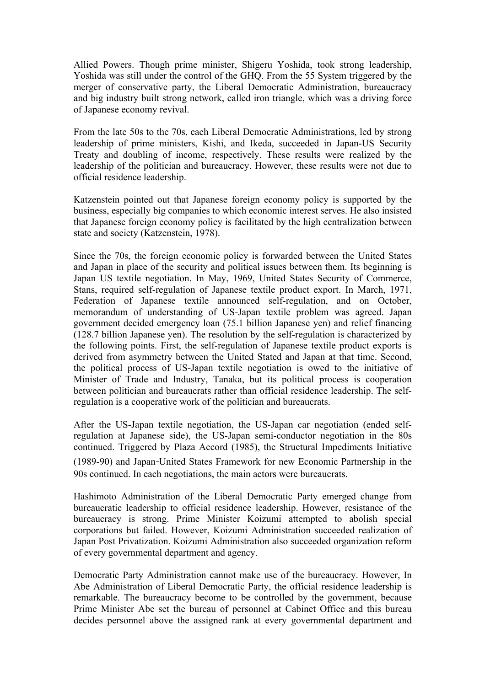Allied Powers. Though prime minister, Shigeru Yoshida, took strong leadership, Yoshida was still under the control of the GHQ. From the 55 System triggered by the merger of conservative party, the Liberal Democratic Administration, bureaucracy and big industry built strong network, called iron triangle, which was a driving force of Japanese economy revival.

From the late 50s to the 70s, each Liberal Democratic Administrations, led by strong leadership of prime ministers, Kishi, and Ikeda, succeeded in Japan-US Security Treaty and doubling of income, respectively. These results were realized by the leadership of the politician and bureaucracy. However, these results were not due to official residence leadership.

Katzenstein pointed out that Japanese foreign economy policy is supported by the business, especially big companies to which economic interest serves. He also insisted that Japanese foreign economy policy is facilitated by the high centralization between state and society (Katzenstein, 1978).

Since the 70s, the foreign economic policy is forwarded between the United States and Japan in place of the security and political issues between them. Its beginning is Japan US textile negotiation. In May, 1969, United States Security of Commerce, Stans, required self-regulation of Japanese textile product export. In March, 1971, Federation of Japanese textile announced self-regulation, and on October, memorandum of understanding of US-Japan textile problem was agreed. Japan government decided emergency loan (75.1 billion Japanese yen) and relief financing (128.7 billion Japanese yen). The resolution by the self-regulation is characterized by the following points. First, the self-regulation of Japanese textile product exports is derived from asymmetry between the United Stated and Japan at that time. Second, the political process of US-Japan textile negotiation is owed to the initiative of Minister of Trade and Industry, Tanaka, but its political process is cooperation between politician and bureaucrats rather than official residence leadership. The selfregulation is a cooperative work of the politician and bureaucrats.

After the US-Japan textile negotiation, the US-Japan car negotiation (ended selfregulation at Japanese side), the US-Japan semi-conductor negotiation in the 80s continued. Triggered by Plaza Accord (1985), the Structural Impediments Initiative (1989-90) and Japan-United States Framework for new Economic Partnership in the 90s continued. In each negotiations, the main actors were bureaucrats.

Hashimoto Administration of the Liberal Democratic Party emerged change from bureaucratic leadership to official residence leadership. However, resistance of the bureaucracy is strong. Prime Minister Koizumi attempted to abolish special corporations but failed. However, Koizumi Administration succeeded realization of Japan Post Privatization. Koizumi Administration also succeeded organization reform of every governmental department and agency.

Democratic Party Administration cannot make use of the bureaucracy. However, In Abe Administration of Liberal Democratic Party, the official residence leadership is remarkable. The bureaucracy become to be controlled by the government, because Prime Minister Abe set the bureau of personnel at Cabinet Office and this bureau decides personnel above the assigned rank at every governmental department and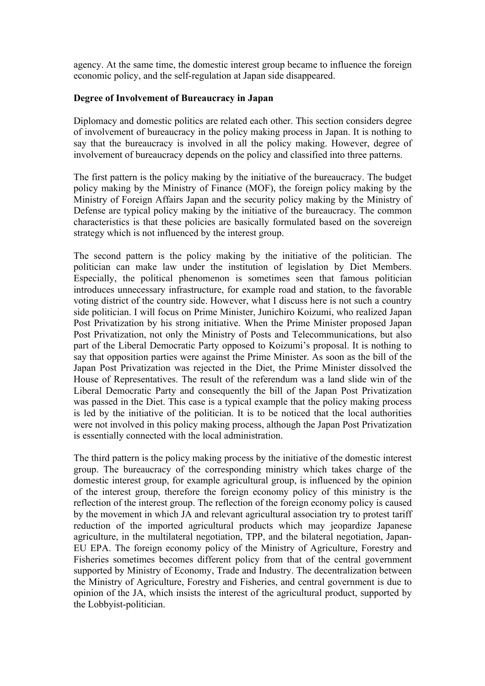agency. At the same time, the domestic interest group became to influence the foreign economic policy, and the self-regulation at Japan side disappeared.

#### **Degree of Involvement of Bureaucracy in Japan**

Diplomacy and domestic politics are related each other. This section considers degree of involvement of bureaucracy in the policy making process in Japan. It is nothing to say that the bureaucracy is involved in all the policy making. However, degree of involvement of bureaucracy depends on the policy and classified into three patterns.

The first pattern is the policy making by the initiative of the bureaucracy. The budget policy making by the Ministry of Finance (MOF), the foreign policy making by the Ministry of Foreign Affairs Japan and the security policy making by the Ministry of Defense are typical policy making by the initiative of the bureaucracy. The common characteristics is that these policies are basically formulated based on the sovereign strategy which is not influenced by the interest group.

The second pattern is the policy making by the initiative of the politician. The politician can make law under the institution of legislation by Diet Members. Especially, the political phenomenon is sometimes seen that famous politician introduces unnecessary infrastructure, for example road and station, to the favorable voting district of the country side. However, what I discuss here is not such a country side politician. I will focus on Prime Minister, Junichiro Koizumi, who realized Japan Post Privatization by his strong initiative. When the Prime Minister proposed Japan Post Privatization, not only the Ministry of Posts and Telecommunications, but also part of the Liberal Democratic Party opposed to Koizumi's proposal. It is nothing to say that opposition parties were against the Prime Minister. As soon as the bill of the Japan Post Privatization was rejected in the Diet, the Prime Minister dissolved the House of Representatives. The result of the referendum was a land slide win of the Liberal Democratic Party and consequently the bill of the Japan Post Privatization was passed in the Diet. This case is a typical example that the policy making process is led by the initiative of the politician. It is to be noticed that the local authorities were not involved in this policy making process, although the Japan Post Privatization is essentially connected with the local administration.

The third pattern is the policy making process by the initiative of the domestic interest group. The bureaucracy of the corresponding ministry which takes charge of the domestic interest group, for example agricultural group, is influenced by the opinion of the interest group, therefore the foreign economy policy of this ministry is the reflection of the interest group. The reflection of the foreign economy policy is caused by the movement in which JA and relevant agricultural association try to protest tariff reduction of the imported agricultural products which may jeopardize Japanese agriculture, in the multilateral negotiation, TPP, and the bilateral negotiation, Japan-EU EPA. The foreign economy policy of the Ministry of Agriculture, Forestry and Fisheries sometimes becomes different policy from that of the central government supported by Ministry of Economy, Trade and Industry. The decentralization between the Ministry of Agriculture, Forestry and Fisheries, and central government is due to opinion of the JA, which insists the interest of the agricultural product, supported by the Lobbyist-politician.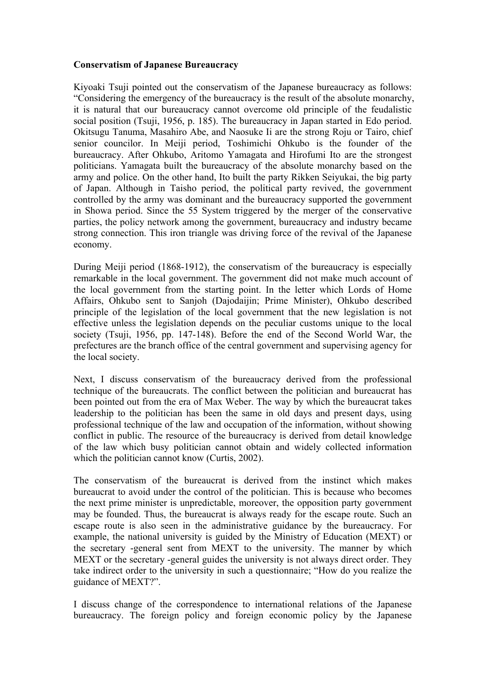### **Conservatism of Japanese Bureaucracy**

Kiyoaki Tsuji pointed out the conservatism of the Japanese bureaucracy as follows: "Considering the emergency of the bureaucracy is the result of the absolute monarchy, it is natural that our bureaucracy cannot overcome old principle of the feudalistic social position (Tsuji, 1956, p. 185). The bureaucracy in Japan started in Edo period. Okitsugu Tanuma, Masahiro Abe, and Naosuke Ii are the strong Roju or Tairo, chief senior councilor. In Meiji period, Toshimichi Ohkubo is the founder of the bureaucracy. After Ohkubo, Aritomo Yamagata and Hirofumi Ito are the strongest politicians. Yamagata built the bureaucracy of the absolute monarchy based on the army and police. On the other hand, Ito built the party Rikken Seiyukai, the big party of Japan. Although in Taisho period, the political party revived, the government controlled by the army was dominant and the bureaucracy supported the government in Showa period. Since the 55 System triggered by the merger of the conservative parties, the policy network among the government, bureaucracy and industry became strong connection. This iron triangle was driving force of the revival of the Japanese economy.

During Meiji period (1868-1912), the conservatism of the bureaucracy is especially remarkable in the local government. The government did not make much account of the local government from the starting point. In the letter which Lords of Home Affairs, Ohkubo sent to Sanjoh (Dajodaijin; Prime Minister), Ohkubo described principle of the legislation of the local government that the new legislation is not effective unless the legislation depends on the peculiar customs unique to the local society (Tsuji, 1956, pp. 147-148). Before the end of the Second World War, the prefectures are the branch office of the central government and supervising agency for the local society.

Next, I discuss conservatism of the bureaucracy derived from the professional technique of the bureaucrats. The conflict between the politician and bureaucrat has been pointed out from the era of Max Weber. The way by which the bureaucrat takes leadership to the politician has been the same in old days and present days, using professional technique of the law and occupation of the information, without showing conflict in public. The resource of the bureaucracy is derived from detail knowledge of the law which busy politician cannot obtain and widely collected information which the politician cannot know (Curtis, 2002).

The conservatism of the bureaucrat is derived from the instinct which makes bureaucrat to avoid under the control of the politician. This is because who becomes the next prime minister is unpredictable, moreover, the opposition party government may be founded. Thus, the bureaucrat is always ready for the escape route. Such an escape route is also seen in the administrative guidance by the bureaucracy. For example, the national university is guided by the Ministry of Education (MEXT) or the secretary -general sent from MEXT to the university. The manner by which MEXT or the secretary -general guides the university is not always direct order. They take indirect order to the university in such a questionnaire; "How do you realize the guidance of MEXT?".

I discuss change of the correspondence to international relations of the Japanese bureaucracy. The foreign policy and foreign economic policy by the Japanese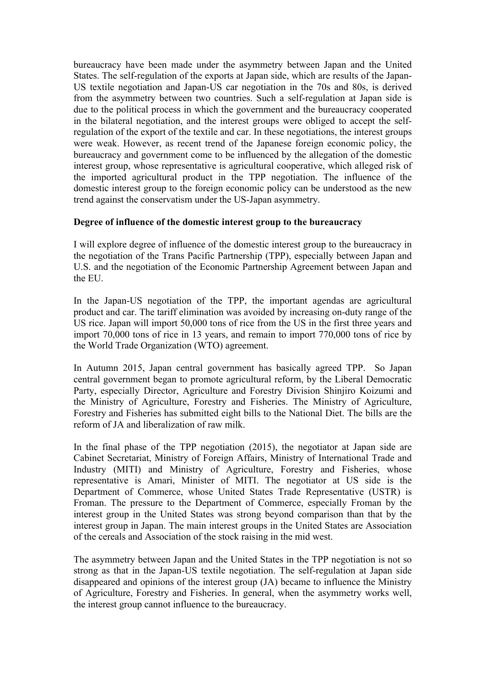bureaucracy have been made under the asymmetry between Japan and the United States. The self-regulation of the exports at Japan side, which are results of the Japan-US textile negotiation and Japan-US car negotiation in the 70s and 80s, is derived from the asymmetry between two countries. Such a self-regulation at Japan side is due to the political process in which the government and the bureaucracy cooperated in the bilateral negotiation, and the interest groups were obliged to accept the selfregulation of the export of the textile and car. In these negotiations, the interest groups were weak. However, as recent trend of the Japanese foreign economic policy, the bureaucracy and government come to be influenced by the allegation of the domestic interest group, whose representative is agricultural cooperative, which alleged risk of the imported agricultural product in the TPP negotiation. The influence of the domestic interest group to the foreign economic policy can be understood as the new trend against the conservatism under the US-Japan asymmetry.

#### **Degree of influence of the domestic interest group to the bureaucracy**

I will explore degree of influence of the domestic interest group to the bureaucracy in the negotiation of the Trans Pacific Partnership (TPP), especially between Japan and U.S. and the negotiation of the Economic Partnership Agreement between Japan and the EU.

In the Japan-US negotiation of the TPP, the important agendas are agricultural product and car. The tariff elimination was avoided by increasing on-duty range of the US rice. Japan will import 50,000 tons of rice from the US in the first three years and import 70,000 tons of rice in 13 years, and remain to import 770,000 tons of rice by the World Trade Organization (WTO) agreement.

In Autumn 2015, Japan central government has basically agreed TPP. So Japan central government began to promote agricultural reform, by the Liberal Democratic Party, especially Director, Agriculture and Forestry Division Shinjiro Koizumi and the Ministry of Agriculture, Forestry and Fisheries. The Ministry of Agriculture, Forestry and Fisheries has submitted eight bills to the National Diet. The bills are the reform of JA and liberalization of raw milk.

In the final phase of the TPP negotiation (2015), the negotiator at Japan side are Cabinet Secretariat, Ministry of Foreign Affairs, Ministry of International Trade and Industry (MITI) and Ministry of Agriculture, Forestry and Fisheries, whose representative is Amari, Minister of MITI. The negotiator at US side is the Department of Commerce, whose United States Trade Representative (USTR) is Froman. The pressure to the Department of Commerce, especially Froman by the interest group in the United States was strong beyond comparison than that by the interest group in Japan. The main interest groups in the United States are Association of the cereals and Association of the stock raising in the mid west.

The asymmetry between Japan and the United States in the TPP negotiation is not so strong as that in the Japan-US textile negotiation. The self-regulation at Japan side disappeared and opinions of the interest group (JA) became to influence the Ministry of Agriculture, Forestry and Fisheries. In general, when the asymmetry works well, the interest group cannot influence to the bureaucracy.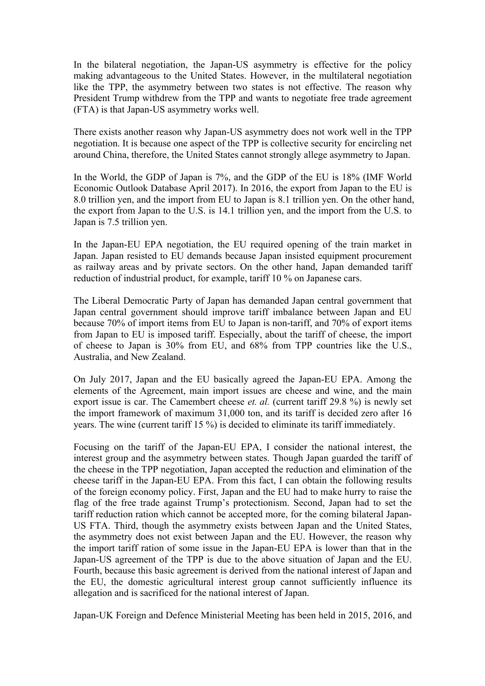In the bilateral negotiation, the Japan-US asymmetry is effective for the policy making advantageous to the United States. However, in the multilateral negotiation like the TPP, the asymmetry between two states is not effective. The reason why President Trump withdrew from the TPP and wants to negotiate free trade agreement (FTA) is that Japan-US asymmetry works well.

There exists another reason why Japan-US asymmetry does not work well in the TPP negotiation. It is because one aspect of the TPP is collective security for encircling net around China, therefore, the United States cannot strongly allege asymmetry to Japan.

In the World, the GDP of Japan is 7%, and the GDP of the EU is 18% (IMF World Economic Outlook Database April 2017). In 2016, the export from Japan to the EU is 8.0 trillion yen, and the import from EU to Japan is 8.1 trillion yen. On the other hand, the export from Japan to the U.S. is 14.1 trillion yen, and the import from the U.S. to Japan is 7.5 trillion yen.

In the Japan-EU EPA negotiation, the EU required opening of the train market in Japan. Japan resisted to EU demands because Japan insisted equipment procurement as railway areas and by private sectors. On the other hand, Japan demanded tariff reduction of industrial product, for example, tariff 10 % on Japanese cars.

The Liberal Democratic Party of Japan has demanded Japan central government that Japan central government should improve tariff imbalance between Japan and EU because 70% of import items from EU to Japan is non-tariff, and 70% of export items from Japan to EU is imposed tariff. Especially, about the tariff of cheese, the import of cheese to Japan is 30% from EU, and 68% from TPP countries like the U.S., Australia, and New Zealand.

On July 2017, Japan and the EU basically agreed the Japan-EU EPA. Among the elements of the Agreement, main import issues are cheese and wine, and the main export issue is car. The Camembert cheese *et. al.* (current tariff 29.8 %) is newly set the import framework of maximum 31,000 ton, and its tariff is decided zero after 16 years. The wine (current tariff 15 %) is decided to eliminate its tariff immediately.

Focusing on the tariff of the Japan-EU EPA, I consider the national interest, the interest group and the asymmetry between states. Though Japan guarded the tariff of the cheese in the TPP negotiation, Japan accepted the reduction and elimination of the cheese tariff in the Japan-EU EPA. From this fact, I can obtain the following results of the foreign economy policy. First, Japan and the EU had to make hurry to raise the flag of the free trade against Trump's protectionism. Second, Japan had to set the tariff reduction ration which cannot be accepted more, for the coming bilateral Japan-US FTA. Third, though the asymmetry exists between Japan and the United States, the asymmetry does not exist between Japan and the EU. However, the reason why the import tariff ration of some issue in the Japan-EU EPA is lower than that in the Japan-US agreement of the TPP is due to the above situation of Japan and the EU. Fourth, because this basic agreement is derived from the national interest of Japan and the EU, the domestic agricultural interest group cannot sufficiently influence its allegation and is sacrificed for the national interest of Japan.

Japan-UK Foreign and Defence Ministerial Meeting has been held in 2015, 2016, and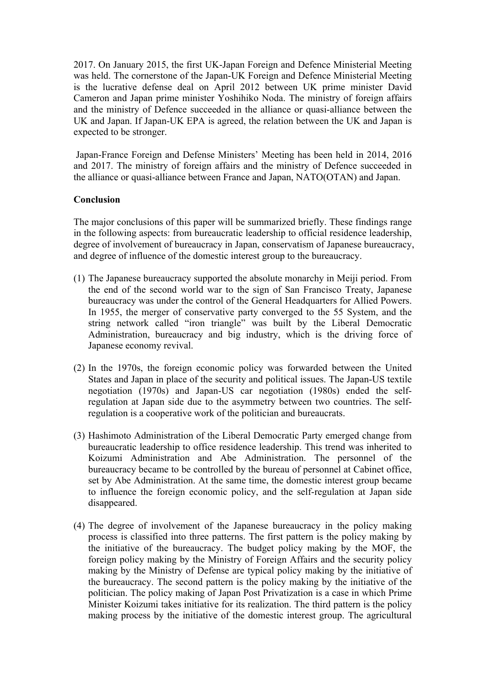2017. On January 2015, the first UK-Japan Foreign and Defence Ministerial Meeting was held. The cornerstone of the Japan-UK Foreign and Defence Ministerial Meeting is the lucrative defense deal on April 2012 between UK prime minister David Cameron and Japan prime minister Yoshihiko Noda. The ministry of foreign affairs and the ministry of Defence succeeded in the alliance or quasi-alliance between the UK and Japan. If Japan-UK EPA is agreed, the relation between the UK and Japan is expected to be stronger.

Japan-France Foreign and Defense Ministers' Meeting has been held in 2014, 2016 and 2017. The ministry of foreign affairs and the ministry of Defence succeeded in the alliance or quasi-alliance between France and Japan, NATO(OTAN) and Japan.

## **Conclusion**

The major conclusions of this paper will be summarized briefly. These findings range in the following aspects: from bureaucratic leadership to official residence leadership, degree of involvement of bureaucracy in Japan, conservatism of Japanese bureaucracy, and degree of influence of the domestic interest group to the bureaucracy.

- (1) The Japanese bureaucracy supported the absolute monarchy in Meiji period. From the end of the second world war to the sign of San Francisco Treaty, Japanese bureaucracy was under the control of the General Headquarters for Allied Powers. In 1955, the merger of conservative party converged to the 55 System, and the string network called "iron triangle" was built by the Liberal Democratic Administration, bureaucracy and big industry, which is the driving force of Japanese economy revival.
- (2) In the 1970s, the foreign economic policy was forwarded between the United States and Japan in place of the security and political issues. The Japan-US textile negotiation (1970s) and Japan-US car negotiation (1980s) ended the selfregulation at Japan side due to the asymmetry between two countries. The selfregulation is a cooperative work of the politician and bureaucrats.
- (3) Hashimoto Administration of the Liberal Democratic Party emerged change from bureaucratic leadership to office residence leadership. This trend was inherited to Koizumi Administration and Abe Administration. The personnel of the bureaucracy became to be controlled by the bureau of personnel at Cabinet office, set by Abe Administration. At the same time, the domestic interest group became to influence the foreign economic policy, and the self-regulation at Japan side disappeared.
- (4) The degree of involvement of the Japanese bureaucracy in the policy making process is classified into three patterns. The first pattern is the policy making by the initiative of the bureaucracy. The budget policy making by the MOF, the foreign policy making by the Ministry of Foreign Affairs and the security policy making by the Ministry of Defense are typical policy making by the initiative of the bureaucracy. The second pattern is the policy making by the initiative of the politician. The policy making of Japan Post Privatization is a case in which Prime Minister Koizumi takes initiative for its realization. The third pattern is the policy making process by the initiative of the domestic interest group. The agricultural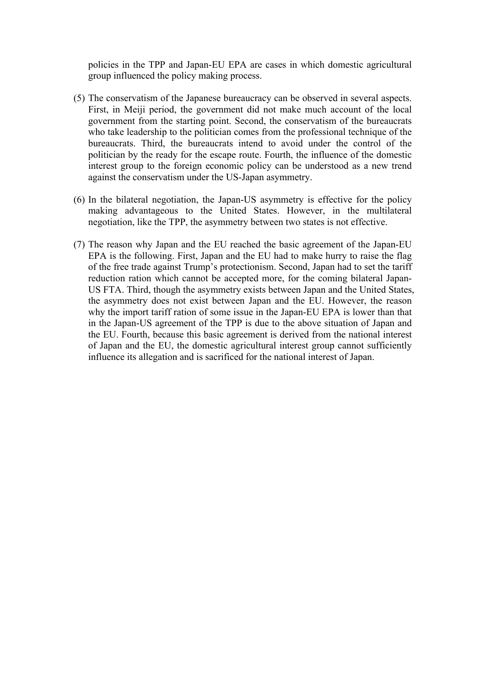policies in the TPP and Japan-EU EPA are cases in which domestic agricultural group influenced the policy making process.

- (5) The conservatism of the Japanese bureaucracy can be observed in several aspects. First, in Meiji period, the government did not make much account of the local government from the starting point. Second, the conservatism of the bureaucrats who take leadership to the politician comes from the professional technique of the bureaucrats. Third, the bureaucrats intend to avoid under the control of the politician by the ready for the escape route. Fourth, the influence of the domestic interest group to the foreign economic policy can be understood as a new trend against the conservatism under the US-Japan asymmetry.
- (6) In the bilateral negotiation, the Japan-US asymmetry is effective for the policy making advantageous to the United States. However, in the multilateral negotiation, like the TPP, the asymmetry between two states is not effective.
- (7) The reason why Japan and the EU reached the basic agreement of the Japan-EU EPA is the following. First, Japan and the EU had to make hurry to raise the flag of the free trade against Trump's protectionism. Second, Japan had to set the tariff reduction ration which cannot be accepted more, for the coming bilateral Japan-US FTA. Third, though the asymmetry exists between Japan and the United States, the asymmetry does not exist between Japan and the EU. However, the reason why the import tariff ration of some issue in the Japan-EU EPA is lower than that in the Japan-US agreement of the TPP is due to the above situation of Japan and the EU. Fourth, because this basic agreement is derived from the national interest of Japan and the EU, the domestic agricultural interest group cannot sufficiently influence its allegation and is sacrificed for the national interest of Japan.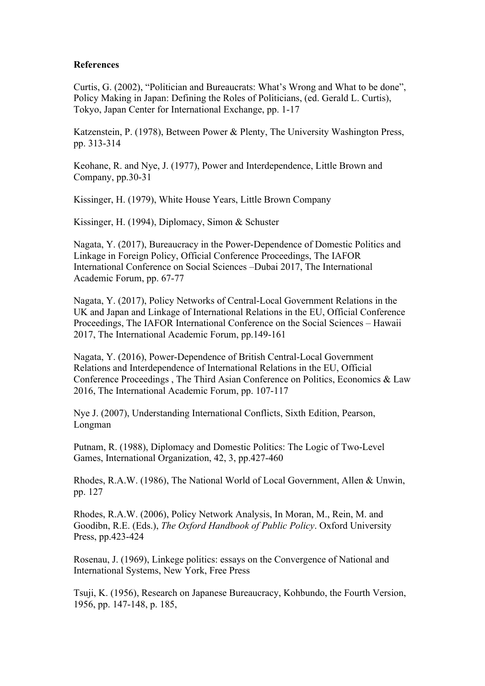#### **References**

Curtis, G. (2002), "Politician and Bureaucrats: What's Wrong and What to be done", Policy Making in Japan: Defining the Roles of Politicians, (ed. Gerald L. Curtis), Tokyo, Japan Center for International Exchange, pp. 1-17

Katzenstein, P. (1978), Between Power & Plenty, The University Washington Press, pp. 313-314

Keohane, R. and Nye, J. (1977), Power and Interdependence, Little Brown and Company, pp.30-31

Kissinger, H. (1979), White House Years, Little Brown Company

Kissinger, H. (1994), Diplomacy, Simon & Schuster

Nagata, Y. (2017), Bureaucracy in the Power-Dependence of Domestic Politics and Linkage in Foreign Policy, Official Conference Proceedings, The IAFOR International Conference on Social Sciences –Dubai 2017, The International Academic Forum, pp. 67-77

Nagata, Y. (2017), Policy Networks of Central-Local Government Relations in the UK and Japan and Linkage of International Relations in the EU, Official Conference Proceedings, The IAFOR International Conference on the Social Sciences – Hawaii 2017, The International Academic Forum, pp.149-161

Nagata, Y. (2016), Power-Dependence of British Central-Local Government Relations and Interdependence of International Relations in the EU, Official Conference Proceedings , The Third Asian Conference on Politics, Economics & Law 2016, The International Academic Forum, pp. 107-117

Nye J. (2007), Understanding International Conflicts, Sixth Edition, Pearson, Longman

Putnam, R. (1988), Diplomacy and Domestic Politics: The Logic of Two-Level Games, International Organization, 42, 3, pp.427-460

Rhodes, R.A.W. (1986), The National World of Local Government, Allen & Unwin, pp. 127

Rhodes, R.A.W. (2006), Policy Network Analysis, In Moran, M., Rein, M. and Goodibn, R.E. (Eds.), *The Oxford Handbook of Public Policy*. Oxford University Press, pp.423-424

Rosenau, J. (1969), Linkege politics: essays on the Convergence of National and International Systems, New York, Free Press

Tsuji, K. (1956), Research on Japanese Bureaucracy, Kohbundo, the Fourth Version, 1956, pp. 147-148, p. 185,